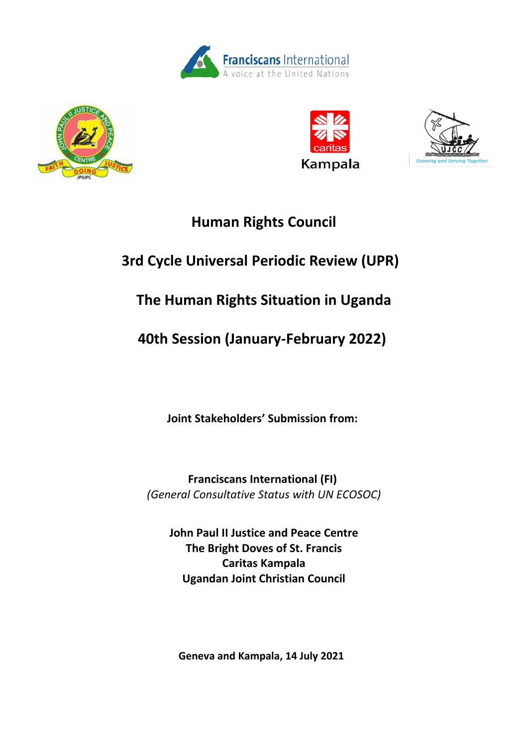







# **Human Rights Council**

# **3rd Cycle Universal Periodic Review (UPR)**

# **The Human Rights Situation in Uganda**

# **40th Session (January-February 2022)**

**Joint Stakeholders' Submission from:**

**Franciscans International (FI)** *(General Consultative Status with UN ECOSOC)*

**John Paul II Justice and Peace Centre The Bright Doves of St. Francis Caritas Kampala Ugandan Joint Christian Council**

**Geneva and Kampala, 14 July 2021**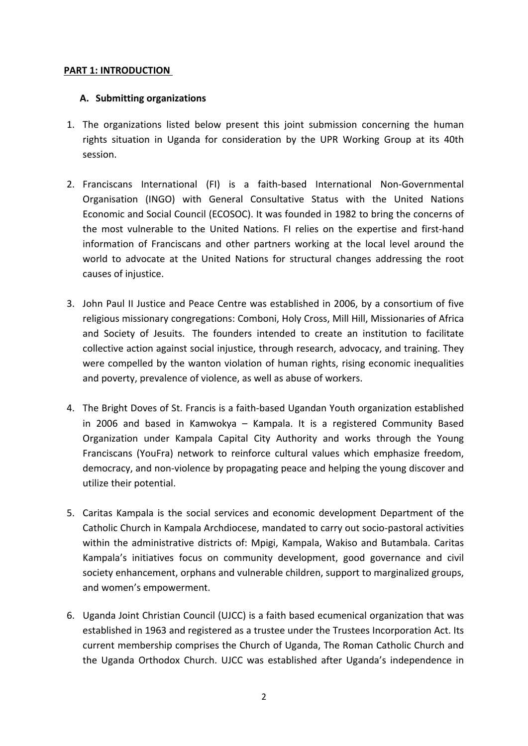## **PART 1: INTRODUCTION**

## **A. Submitting organizations**

- 1. The organizations listed below present this joint submission concerning the human rights situation in Uganda for consideration by the UPR Working Group at its 40th session.
- 2. Franciscans International (FI) is <sup>a</sup> faith-based International Non-Governmental Organisation (INGO) with General Consultative Status with the United Nations Economic and Social Council (ECOSOC). It was founded in 1982 to bring the concerns of the most vulnerable to the United Nations. FI relies on the expertise and first-hand information of Franciscans and other partners working at the local level around the world to advocate at the United Nations for structural changes addressing the root causes of injustice.
- 3. John Paul II Justice and Peace Centre was established in 2006, by <sup>a</sup> consortium of five religious missionary congregations: Comboni, Holy Cross, Mill Hill, Missionaries of Africa and Society of Jesuits. The founders intended to create an institution to facilitate collective action against social injustice, through research, advocacy, and training. They were compelled by the wanton violation of human rights, rising economic inequalities and poverty, prevalence of violence, as well as abuse of workers.
- 4. The Bright Doves of St. Francis is <sup>a</sup> faith-based Ugandan Youth organization established in 2006 and based in Kamwokya – Kampala. It is <sup>a</sup> registered Community Based Organization under Kampala Capital City Authority and works through the Young Franciscans (YouFra) network to reinforce cultural values which emphasize freedom, democracy, and non-violence by propagating peace and helping the young discover and utilize their potential.
- 5. Caritas Kampala is the social services and economic development Department of the Catholic Church in Kampala Archdiocese, mandated to carry out socio-pastoral activities within the administrative districts of: Mpigi, Kampala, Wakiso and Butambala. Caritas Kampala'<sup>s</sup> initiatives focus on community development, good governance and civil society enhancement, orphans and vulnerable children, support to marginalized groups, and women'<sup>s</sup> empowerment.
- 6. Uganda Joint Christian Council (UJCC) is <sup>a</sup> faith based ecumenical organization that was established in 1963 and registered as <sup>a</sup> trustee under the Trustees Incorporation Act. Its current membership comprises the Church of Uganda, The Roman Catholic Church and the Uganda Orthodox Church. UJCC was established after Uganda'<sup>s</sup> independence in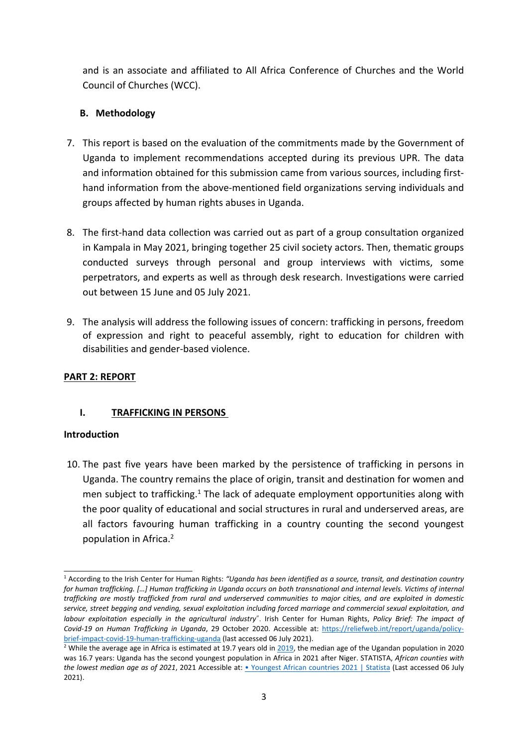and is an associate and affiliated to All Africa Conference of Churches and the World Council of Churches (WCC).

# **B. Methodology**

- 7. This report is based on the evaluation of the commitments made by the Government of Uganda to implement recommendations accepted during its previous UPR. The data and information obtained for this submission came from various sources, including firsthand information from the above-mentioned field organizations serving individuals and groups affected by human rights abuses in Uganda.
- 8. The first-hand data collection was carried out as part of <sup>a</sup> group consultation organized in Kampala in May 2021, bringing together 25 civil society actors. Then, thematic groups conducted surveys through personal and group interviews with victims, some perpetrators, and experts as well as through desk research. Investigations were carried out between 15 June and 05 July 2021.
- 9. The analysis will address the following issues of concern: trafficking in persons, freedom of expression and right to peaceful assembly, right to education for children with disabilities and gender-based violence.

## **PART 2: REPORT**

# **I. TRAFFICKING IN PERSONS**

## **Introduction**

10. The past five years have been marked by the persistence of trafficking in persons in Uganda. The country remains the place of origin, transit and destination for women and men subject to trafficking.<sup>1</sup> The lack of adequate employment opportunities along with the poor quality of educational and social structures in rural and underserved areas, are all factors favouring human trafficking in <sup>a</sup> country counting the second youngest population in Africa. 2

<sup>1</sup> According to the Irish Center for Human Rights: *"Uganda has been identified as <sup>a</sup> source, transit, and destination country* for human trafficking. [...] Human trafficking in Uganda occurs on both transnational and internal levels. Victims of internal trafficking are mostly trafficked from rural and underserved communities to major cities, and are exploited in domestic service, street begging and vending, sexual exploitation including forced marriage and commercial sexual exploitation, and *labour exploitation especially in the agricultural industry*". Irish Center for Human Rights, *Policy Brief: The impact of Covid-19 on Human Trafficking in Uganda*, 29 October 2020. Accessible at: [https://reliefweb.int/report/uganda/policy](https://reliefweb.int/report/uganda/policy-brief-impact-covid-19-human-trafficking-uganda)[brief-impact-covid-19-human-trafficking-uganda](https://reliefweb.int/report/uganda/policy-brief-impact-covid-19-human-trafficking-uganda) (last accessed 06 July 2021).

<sup>&</sup>lt;sup>2</sup> While the average age in Africa is estimated at 19.7 years old in [2019](https://www.worldometers.info/world-population/africa-population/#:~:text=The%20median%20age%20in%20Africa%20is%2019.7years.), the median age of the Ugandan population in 2020 was 16.7 years: Uganda has the second youngest population in Africa in 2021 after Niger. STATISTA, *African counties with the lowest median age as of 2021*, 2021 Accessible at: • [Youngest](https://www.statista.com/statistics/1121264/median-age-in-africa-by-county/) African countries 2021 | Statista (Last accessed 06 July 2021).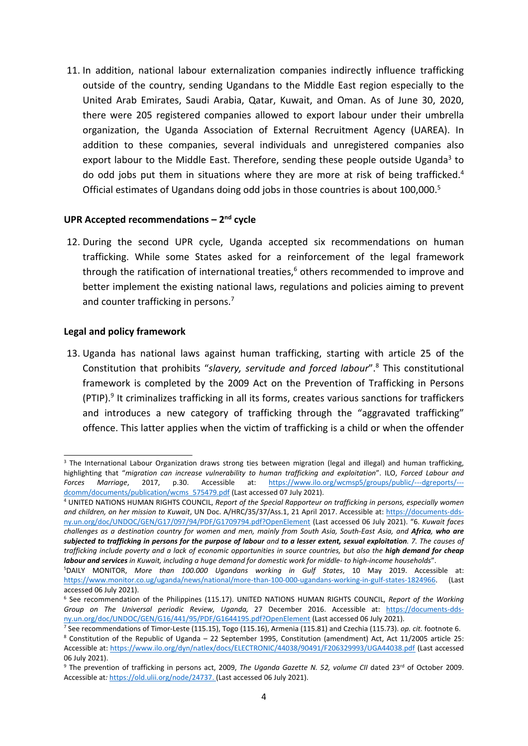11. In addition, national labour externalization companies indirectly influence trafficking outside of the country, sending Ugandans to the Middle East region especially to the United Arab Emirates, Saudi Arabia, Qatar, Kuwait, and Oman. As of June 30, 2020, there were 205 registered companies allowed to export labour under their umbrella organization, the Uganda Association of External Recruitment Agency (UAREA). In addition to these companies, several individuals and unregistered companies also export labour to the Middle East. Therefore, sending these people outside Uganda<sup>3</sup> to do odd jobs put them in situations where they are more at risk of being trafficked. 4 Official estimates of Ugandans doing odd jobs in those countries is about 100,000. 5

## **UPR Accepted recommendations – <sup>2</sup>nd cycle**

12. During the second UPR cycle, Uganda accepted six recommendations on human trafficking. While some States asked for <sup>a</sup> reinforcement of the legal framework through the ratification of international treaties,<sup>6</sup> others recommended to improve and better implement the existing national laws, regulations and policies aiming to prevent and counter trafficking in persons.<sup>7</sup>

## **Legal and policy framework**

13. Uganda has national laws against human trafficking, starting with article 25 of the Constitution that prohibits "*slavery, servitude and forced labour*". 8 This constitutional framework is completed by the 2009 Act on the Prevention of Trafficking in Persons (PTIP).<sup>9</sup> It criminalizes trafficking in all its forms, creates various sanctions for traffickers and introduces <sup>a</sup> new category of trafficking through the "aggravated trafficking" offence. This latter applies when the victim of trafficking is <sup>a</sup> child or when the offender

<sup>&</sup>lt;sup>3</sup> The International Labour Organization draws strong ties between migration (legal and illegal) and human trafficking highlighting that "*migration can increase vulnerability to human trafficking and exploitation*". ILO, *Forced Labour and Forces Marriage*, 2017, p.30. Accessible at: [https://www.ilo.org/wcmsp5/groups/public/---dgreports/--](https://www.ilo.org/wcmsp5/groups/public/---dgreports/---dcomm/documents/publication/wcms_575479.pdf) [dcomm/documents/publication/wcms\\_575479.pdf](https://www.ilo.org/wcmsp5/groups/public/---dgreports/---dcomm/documents/publication/wcms_575479.pdf) (Last accessed 07 July 2021).

<sup>4</sup> UNITED NATIONS HUMAN RIGHTS COUNCIL, *Report of the Special Rapporteur on trafficking in persons, especially women and children, on her mission to Kuwait*, UN Doc. A/HRC/35/37/Ass.1, 21 April 2017. Accessible at: [https://documents-dds](https://documents-dds-ny.un.org/doc/UNDOC/GEN/G17/097/94/PDF/G1709794.pdf?OpenElement)[ny.un.org/doc/UNDOC/GEN/G17/097/94/PDF/G1709794.pdf?OpenElement](https://documents-dds-ny.un.org/doc/UNDOC/GEN/G17/097/94/PDF/G1709794.pdf?OpenElement) (Last accessed 06 July 2021). "6. *Kuwait faces* challenges as a destination country for women and men, mainly from South Asia, South-East Asia, and Africa, who are subjected to trafficking in persons for the purpose of labour and to a lesser extent, sexual exploitation. 7. The causes of trafficking include poverty and a lack of economic opportunities in source countries, but also the high demand for cheap Iabour and services in Kuwait, including a huge demand for domestic work for middle- to high-income households".

<sup>5</sup> DAILY MONITOR, *More than 100.000 Ugandans working in Gulf States*, 10 May 2019. Accessible at: <https://www.monitor.co.ug/uganda/news/national/more-than-100-000-ugandans-working-in-gulf-states-1824966>. (Last accessed 06 July 2021).

<sup>6</sup> See recommendation of the Philippines (115.17). UNITED NATIONS HUMAN RIGHTS COUNCIL, *Report of the Working Group on The Universal periodic Review, Uganda,* 27 December 2016. Accessible at: [https://documents-dds](https://documents-dds-ny.un.org/doc/UNDOC/GEN/G16/441/95/PDF/G1644195.pdf?OpenElement)[ny.un.org/doc/UNDOC/GEN/G16/441/95/PDF/G1644195.pdf?OpenElement](https://documents-dds-ny.un.org/doc/UNDOC/GEN/G16/441/95/PDF/G1644195.pdf?OpenElement) (Last accessed 06 July 2021).

<sup>7</sup> See recommendations of Timor-Leste (115.15), Togo (115.16), Armenia (115.81) and Czechia (115.73). *op. cit.* footnote 6. 8 Constitution of the Republic of Uganda – 22 September 1995, Constitution (amendment) Act, Act 11/2005 article 25: Accessible at: <https://www.ilo.org/dyn/natlex/docs/ELECTRONIC/44038/90491/F206329993/UGA44038.pdf> (Last accessed 06 July 2021).

<sup>&</sup>lt;sup>9</sup> The prevention of trafficking in persons act, 2009, *The Uganda Gazette N. 52, volume CII* dated 23<sup>rd</sup> of October 2009. Accessible at*:* <https://old.ulii.org/node/24737>. (Last accessed 06 July 2021).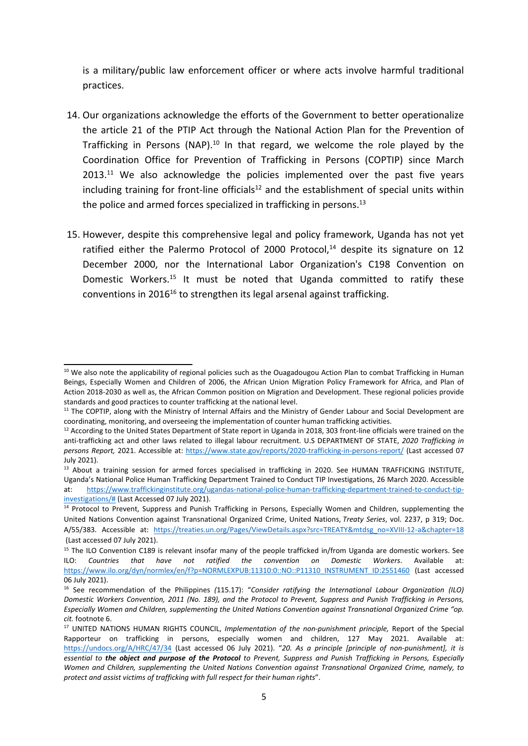is <sup>a</sup> military/public law enforcement officer or where acts involve harmful traditional practices.

- 14. Our organizations acknowledge the efforts of the Government to better operationalize the article 21 of the PTIP Act through the National Action Plan for the Prevention of Trafficking in Persons (NAP).<sup>10</sup> In that regard, we welcome the role played by the Coordination Office for Prevention of Trafficking in Persons (COPTIP) since March  $2013.^{11}$  We also acknowledge the policies implemented over the past five years including training for front-line officials<sup>12</sup> and the establishment of special units within the police and armed forces specialized in trafficking in persons.<sup>13</sup>
- 15. However, despite this comprehensive legal and policy framework, Uganda has not yet ratified either the Palermo Protocol of 2000 Protocol,<sup>14</sup> despite its signature on 12 December 2000, nor the International Labor Organization's C198 Convention on Domestic Workers.<sup>15</sup> It must be noted that Uganda committed to ratify these conventions in 2016<sup>16</sup> to strengthen its legal arsenal against trafficking.

<sup>&</sup>lt;sup>10</sup> We also note the applicability of regional policies such as the Ouagadougou Action Plan to combat Trafficking in Human Beings, Especially Women and Children of 2006, the African Union Migration Policy Framework for Africa, and Plan of Action 2018-2030 as well as, the African Common position on Migration and Development. These regional policies provide standards and good practices to counter trafficking at the national level.

<sup>&</sup>lt;sup>11</sup> The COPTIP, along with the Ministry of Internal Affairs and the Ministry of Gender Labour and Social Development are coordinating, monitoring, and overseeing the implementation of counter human trafficking activities.

 $^{12}$  According to the United States Department of State report in Uganda in 2018, 303 front-line officials were trained on the anti-trafficking act and other laws related to illegal labour recruitment. U.S DEPARTMENT OF STATE, *2020 Trafficking in persons Report,* 2021. Accessible at: <https://www.state.gov/reports/2020-trafficking-in-persons-report/> (Last accessed 07 July 2021).

<sup>&</sup>lt;sup>13</sup> About a training session for armed forces specialised in trafficking in 2020. See HUMAN TRAFFICKING INSTITUTE, Uganda'<sup>s</sup> National Police Human Trafficking Department Trained to Conduct TIP Investigations, 26 March 2020. Accessible at: [https://www.traffickinginstitute.org/ugandas-national-police-human-trafficking-department-trained-to-conduct-tip](https://www.traffickinginstitute.org/ugandas-national-police-human-trafficking-department-trained-to-conduct-tip-investigations/)[investigations/#](https://www.traffickinginstitute.org/ugandas-national-police-human-trafficking-department-trained-to-conduct-tip-investigations/) (Last Accessed 07 July 2021).

<sup>&</sup>lt;sup>14</sup> Protocol to Prevent, Suppress and Punish Trafficking in Persons, Especially Women and Children, supplementing the United Nations Convention against Transnational Organized Crime, United Nations, *Treaty Series*, vol. 2237, p 319; Doc. A/55/383. Accessible at: [https://treaties.un.org/Pages/ViewDetails.aspx?src=TREATY&mtdsg\\_no=XVIII-12-a&chapter=18](https://treaties.un.org/Pages/ViewDetails.aspx?src=TREATY&mtdsg_no=XVIII-12-a&chapter=18) (Last accessed 07 July 2021).

<sup>&</sup>lt;sup>15</sup> The ILO Convention C189 is relevant insofar many of the people trafficked in/from Uganda are domestic workers. See ILO: *Countries that have not ratified the convention on Domestic Workers*. Available at: [https://www.ilo.org/dyn/normlex/en/f?p=NORMLEXPUB:11310:0::NO::P11310\\_INSTRUMENT\\_ID:2551460](https://www.ilo.org/dyn/normlex/en/f?p=NORMLEXPUB:11310:0::NO::P11310_INSTRUMENT_ID:2551460) (Last accessed 06 July 2021).

<sup>16</sup> See recommendation of the Philippines *(*115.17): "*Consider ratifying the International Labour Organization (ILO)* Domestic Workers Convention, 2011 (No. 189), and the Protocol to Prevent. Suppress and Punish Trafficking in Persons. *Especially Women and Children, supplementing the United Nations Convention against Transnational Organized Crime "op. cit.* footnote 6.

<sup>17</sup> UNITED NATIONS HUMAN RIGHTS COUNCIL, *Implementation of the non-punishment principle,* Report of the Special Rapporteur on trafficking in persons, especially women and children, 127 May 2021. Available at: <https://undocs.org/A/HRC/47/34> (Last accessed 06 July 2021). "*20. As <sup>a</sup> principle [principle of non-punishment], it is* essential to the object and purpose of the Protocol to Prevent, Suppress and Punish Trafficking in Persons, Especially *Women and Children, supplementing the United Nations Convention against Transnational Organized Crime, namely, to protect and assist victims of trafficking with full respect for their human rights*".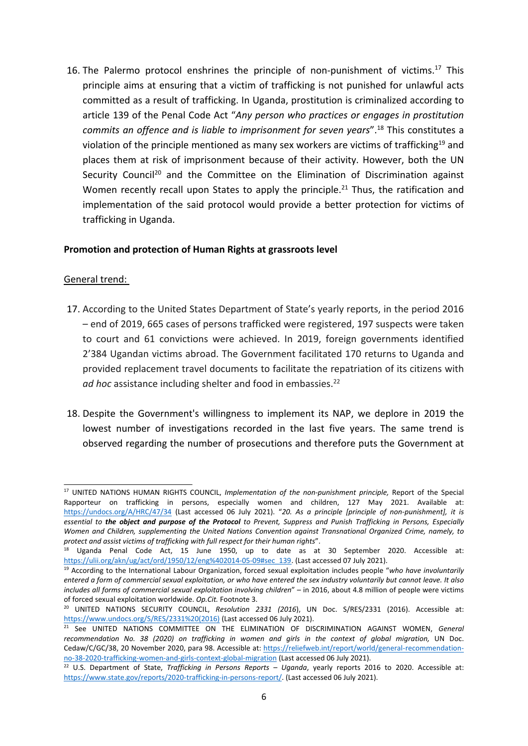16. The Palermo protocol enshrines the principle of non-punishment of victims.<sup>17</sup> This principle aims at ensuring that <sup>a</sup> victim of trafficking is not punished for unlawful acts committed as <sup>a</sup> result of trafficking. In Uganda, prostitution is criminalized according to article 139 of the Penal Code Act "*Any person who practices or engages in prostitution commits an offence and is liable to imprisonment for seven years*". 18 This constitutes a violation of the principle mentioned as many sex workers are victims of trafficking $^{19}$  and places them at risk of imprisonment because of their activity. However, both the UN Security Council<sup>20</sup> and the Committee on the Elimination of Discrimination against Women recently recall upon States to apply the principle.<sup>21</sup> Thus, the ratification and implementation of the said protocol would provide <sup>a</sup> better protection for victims of trafficking in Uganda.

## **Promotion and protection of Human Rights at grassroots level**

## General trend:

- 17. According to the United States Department of State'<sup>s</sup> yearly reports, in the period 2016 – end of 2019, 665 cases of persons trafficked were registered, 197 suspects were taken to court and 61 convictions were achieved. In 2019, foreign governments identified 2'384 Ugandan victims abroad. The Government facilitated 170 returns to Uganda and provided replacement travel documents to facilitate the repatriation of its citizens with *ad hoc* assistance including shelter and food in embassies. 22
- 18. Despite the Government's willingness to implement its NAP, we deplore in 2019 the lowest number of investigations recorded in the last five years. The same trend is observed regarding the number of prosecutions and therefore puts the Government at

<sup>17</sup> UNITED NATIONS HUMAN RIGHTS COUNCIL, *Implementation of the non-punishment principle,* Report of the Special Rapporteur on trafficking in persons, especially women and children, 127 May 2021. Available at: <https://undocs.org/A/HRC/47/34> (Last accessed 06 July 2021). "*20. As <sup>a</sup> principle [principle of non-punishment], it is* essential to the object and purpose of the Protocol to Prevent, Suppress and Punish Trafficking in Persons, Especially *Women and Children, supplementing the United Nations Convention against Transnational Organized Crime, namely, to protect and assist victims of trafficking with full respect for their human rights*".

<sup>&</sup>lt;sup>18</sup> Uganda Penal Code Act, 15 June 1950, up to date as at 30 September 2020. Accessible at: [https://ulii.org/akn/ug/act/ord/1950/12/eng%402014-05-09#sec\\_139](https://ulii.org/akn/ug/act/ord/1950/12/eng%402014-05-09#sec_139). (Last accessed 07 July 2021).

<sup>19</sup> According to the International Labour Organization, forced sexual exploitation includes people "*who have involuntarily* entered a form of commercial sexual exploitation, or who have entered the sex industry voluntarily but cannot leave. It also *includes all forms of commercial sexual exploitation involving children*" – in 2016, about 4.8 million of people were victims of forced sexual exploitation worldwide. *Op.Cit.* Footnote 3.

<sup>20</sup> UNITED NATIONS SECURITY COUNCIL, *Resolution 2331 (2016*), UN Doc. S/RES/2331 (2016). Accessible at: [https://www.undocs.org/S/RES/2331%20\(2016\)](https://www.undocs.org/S/RES/2331%20(2016)) (Last accessed 06 July 2021).

<sup>21</sup> See UNITED NATIONS COMMITTEE ON THE ELIMINATION OF DISCRIMINATION AGAINST WOMEN, *General recommendation No. 38 (2020) on trafficking in women and girls in the context of global migration,* UN Doc. Cedaw/C/GC/38, 20 November 2020, para 98. Accessible at: [https://reliefweb.int/report/world/general-recommendation](https://reliefweb.int/report/world/general-recommendation-no-38-2020-trafficking-women-and-girls-context-global-migration)[no-38-2020-trafficking-women-and-girls-context-global-migration](https://reliefweb.int/report/world/general-recommendation-no-38-2020-trafficking-women-and-girls-context-global-migration) (Last accessed 06 July 2021).

<sup>22</sup> U.S. Department of State, *Trafficking in Persons Reports – Uganda*, yearly reports 2016 to 2020. Accessible at: <https://www.state.gov/reports/2020-trafficking-in-persons-report/>. (Last accessed 06 July 2021).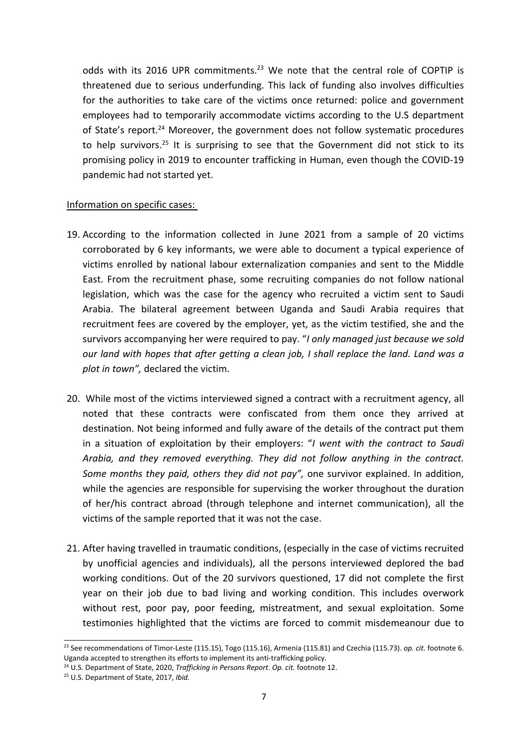odds with its 2016 UPR commitments. $^{23}$  We note that the central role of COPTIP is threatened due to serious underfunding. This lack of funding also involves difficulties for the authorities to take care of the victims once returned: police and government employees had to temporarily accommodate victims according to the U.S department of State's report.<sup>24</sup> Moreover, the government does not follow systematic procedures to help survivors. 25 It is surprising to see that the Government did not stick to its promising policy in 2019 to encounter trafficking in Human, even though the COVID-19 pandemic had not started yet.

## Information on specific cases:

- 19. According to the information collected in June 2021 from <sup>a</sup> sample of 20 victims corroborated by 6 key informants, we were able to document <sup>a</sup> typical experience of victims enrolled by national labour externalization companies and sent to the Middle East. From the recruitment phase, some recruiting companies do not follow national legislation, which was the case for the agency who recruited <sup>a</sup> victim sent to Saudi Arabia. The bilateral agreement between Uganda and Saudi Arabia requires that recruitment fees are covered by the employer, yet, as the victim testified, she and the survivors accompanying her were required to pay. "*I only managed just because we sold our land with hopes that after getting <sup>a</sup> clean job, I shall replace the land. Land was <sup>a</sup> plot in town",* declared the victim.
- 20. While most of the victims interviewed signed <sup>a</sup> contract with <sup>a</sup> recruitment agency, all noted that these contracts were confiscated from them once they arrived at destination. Not being informed and fully aware of the details of the contract put them in <sup>a</sup> situation of exploitation by their employers: "*I went with the contract to Saudi Arabia, and they removed everything. They did not follow anything in the contract. Some months they paid, others they did not pay",* one survivor explained. In addition, while the agencies are responsible for supervising the worker throughout the duration of her/his contract abroad (through telephone and internet communication), all the victims of the sample reported that it was not the case.
- 21. After having travelled in traumatic conditions, (especially in the case of victims recruited by unofficial agencies and individuals), all the persons interviewed deplored the bad working conditions. Out of the 20 survivors questioned, 17 did not complete the first year on their job due to bad living and working condition. This includes overwork without rest, poor pay, poor feeding, mistreatment, and sexual exploitation. Some testimonies highlighted that the victims are forced to commit misdemeanour due to

<sup>23</sup> See recommendations of Timor-Leste (115.15), Togo (115.16), Armenia (115.81) and Czechia (115.73). *op. cit.* footnote 6. Uganda accepted to strengthen its efforts to implement its anti-trafficking policy.

<sup>24</sup> U.S. Department of State, 2020, *Trafficking in Persons Report*. *Op. cit.* footnote 12.

<sup>25</sup> U.S. Department of State, 2017, *Ibid.*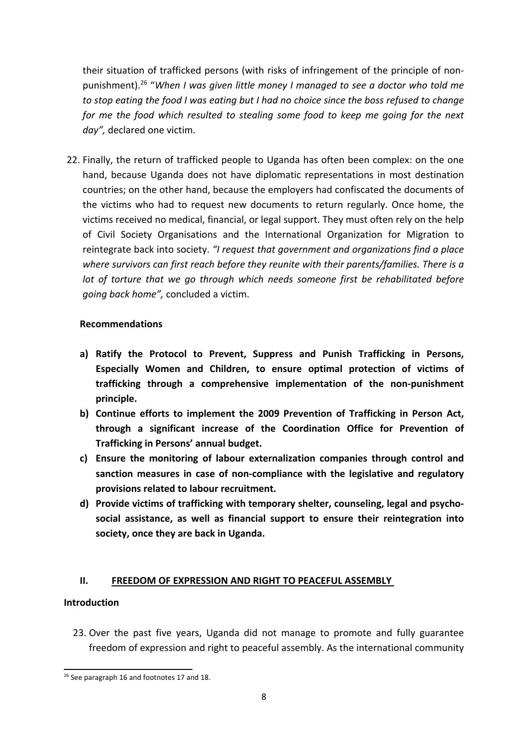their situation of trafficked persons (with risks of infringement of the principle of nonpunishment). 26 "*When I was given little money I managed to see <sup>a</sup> doctor who told me to stop eating the food I was eating but I had no choice since the boss refused to change for me the food which resulted to stealing some food to keep me going for the next day",* declared one victim.

22. Finally, the return of trafficked people to Uganda has often been complex: on the one hand, because Uganda does not have diplomatic representations in most destination countries; on the other hand, because the employers had confiscated the documents of the victims who had to request new documents to return regularly. Once home, the victims received no medical, financial, or legal support. They must often rely on the help of Civil Society Organisations and the International Organization for Migration to reintegrate back into society. *"I request that government and organizations find <sup>a</sup> place where survivors can first reach before they reunite with their parents/families. There is <sup>a</sup> lot of torture that we go through which needs someone first be rehabilitated before going back home",* concluded <sup>a</sup> victim.

## **Recommendations**

- **a) Ratify the Protocol to Prevent, Suppress and Punish Trafficking in Persons, Especially Women and Children, to ensure optimal protection of victims of trafficking through <sup>a</sup> comprehensive implementation of the non-punishment principle.**
- **b) Continue efforts to implement the 2009 Prevention of Trafficking in Person Act, through <sup>a</sup> significant increase of the Coordination Office for Prevention of Trafficking in Persons' annual budget.**
- **c) Ensure the monitoring of labour externalization companies through control and sanction measures in case of non-compliance with the legislative and regulatory provisions related to labour recruitment.**
- **d) Provide victims of trafficking with temporary shelter, counseling, legal and psychosocial assistance, as well as financial support to ensure their reintegration into society, once they are back in Uganda.**

## **II. FREEDOM OF EXPRESSION AND RIGHT TO PEACEFUL ASSEMBLY**

## **Introduction**

23. Over the past five years, Uganda did not manage to promote and fully guarantee freedom of expression and right to peaceful assembly. As the international community

<sup>&</sup>lt;sup>26</sup> See paragraph 16 and footnotes 17 and 18.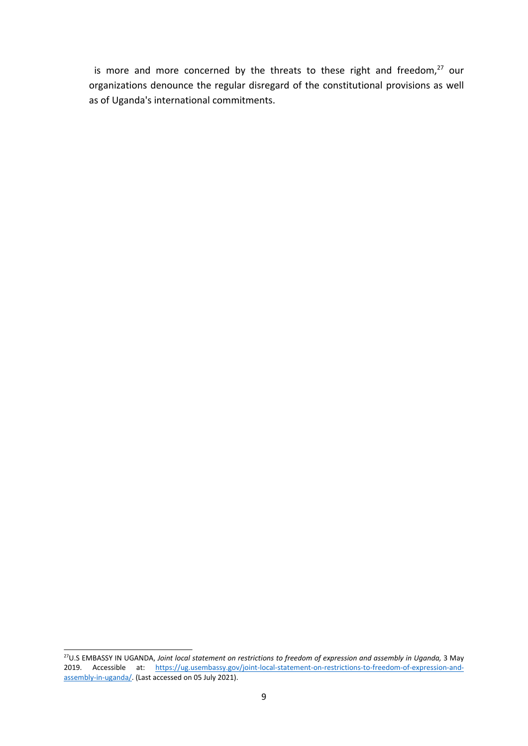is more and more concerned by the threats to these right and freedom, $27$  our organizations denounce the regular disregard of the constitutional provisions as well as of Uganda's international commitments.

<sup>27</sup> U.S EMBASSY IN UGANDA, *Joint local statement on restrictions to freedom of expression and assembly in Uganda,* 3 May 2019. Accessible at: [https://ug.usembassy.gov/joint-local-statement-on-restrictions-to-freedom-of-expression-and](https://ug.usembassy.gov/joint-local-statement-on-restrictions-to-freedom-of-expression-and-assembly-in-uganda/)[assembly-in-uganda/](https://ug.usembassy.gov/joint-local-statement-on-restrictions-to-freedom-of-expression-and-assembly-in-uganda/). (Last accessed on 05 July 2021).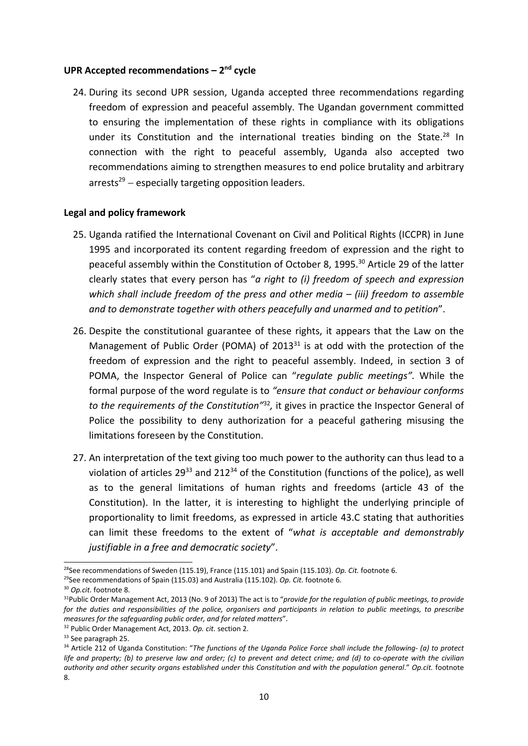#### **UPR Accepted recommendations – <sup>2</sup>nd cycle**

24. During its second UPR session, Uganda accepted three recommendations regarding freedom of expression and peaceful assembly. The Ugandan government committed to ensuring the implementation of these rights in compliance with its obligations under its Constitution and the international treaties binding on the State.<sup>28</sup> In connection with the right to peaceful assembly, Uganda also accepted two recommendations aiming to strengthen measures to end police brutality and arbitrary arrests<sup>29</sup> – especially targeting opposition leaders.

## **Legal and policy framework**

- 25. Uganda ratified the International Covenant on Civil and Political Rights (ICCPR) in June 1995 and incorporated its content regarding freedom of expression and the right to peaceful assembly within the Constitution of October 8, 1995. 30 Article 29 of the latter clearly states that every person has "*<sup>a</sup> right to (i) freedom of speech and expression which shall include freedom of the press and other media – (iii) freedom to assemble and to demonstrate together with others peacefully and unarmed and to petition*".
- 26. Despite the constitutional guarantee of these rights, it appears that the Law on the Management of Public Order (POMA) of 2013 $^{\rm 31}$  is at odd with the protection of the freedom of expression and the right to peaceful assembly. Indeed, in section 3 of POMA, the Inspector General of Police can "*regulate public meetings".* While the formal purpose of the word regulate is to *"ensure that conduct or behaviour conforms to the requirements of the Constitution"* 32 *,* it gives in practice the Inspector General of Police the possibility to deny authorization for <sup>a</sup> peaceful gathering misusing the limitations foreseen by the Constitution.
- 27. An interpretation of the text giving too much power to the authority can thus lead to <sup>a</sup> violation of articles 29<sup>33</sup> and 212<sup>34</sup> of the Constitution (functions of the police), as well as to the general limitations of human rights and freedoms (article 43 of the Constitution). In the latter, it is interesting to highlight the underlying principle of proportionality to limit freedoms, as expressed in article 43.C stating that authorities can limit these freedoms to the extent of "*what is acceptable and demonstrably justifiable in <sup>a</sup> free and democratic society*".

<sup>28</sup> See recommendations of Sweden (115.19), France (115.101) and Spain (115.103). *Op. Cit.* footnote 6.

<sup>29</sup> See recommendations of Spain (115.03) and Australia (115.102). *Op. Cit.* footnote 6.

<sup>30</sup> *Op.cit.* footnote 8.

<sup>31</sup> Public Order Management Act, 2013 (No. 9 of 2013) The act is to "*provide for the regulation of public meetings, to provide* for the duties and responsibilities of the police, organisers and participants in relation to public meetings, to prescribe *measures for the safeguarding public order, and for related matters*".

<sup>32</sup> Public Order Management Act, 2013. *Op. cit.* section 2.

<sup>&</sup>lt;sup>33</sup> See paragraph 25.

<sup>34</sup> Article 212 of Uganda Constitution: "*The functions of the Uganda Police Force shall include the following- (a) to protect* life and property; (b) to preserve law and order; (c) to prevent and detect crime; and (d) to co-operate with the civilian authority and other security organs established under this Constitution and with the population general." Op.cit. footnote 8.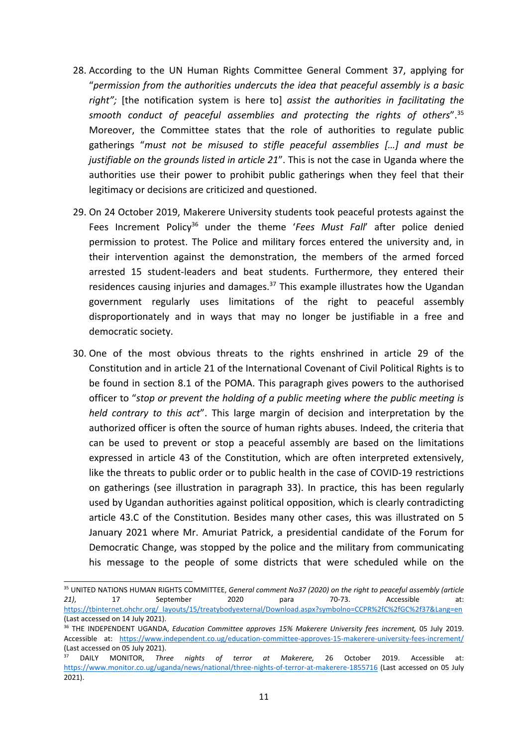- 28. According to the UN Human Rights Committee General Comment 37, applying for "*permission from the authorities undercuts the idea that peaceful assembly is <sup>a</sup> basic right";* [the notification system is here to] *assist the authorities in facilitating the smooth conduct of peaceful assemblies and protecting the rights of others*". 35 Moreover, the Committee states that the role of authorities to regulate public gatherings "*must not be misused to stifle peaceful assemblies […] and must be justifiable on the grounds listed in article 21*". This is not the case in Uganda where the authorities use their power to prohibit public gatherings when they feel that their legitimacy or decisions are criticized and questioned.
- 29. On 24 October 2019, Makerere University students took peaceful protests against the Fees Increment Policy 36 under the theme '*Fees Must Fall*' after police denied permission to protest. The Police and military forces entered the university and, in their intervention against the demonstration, the members of the armed forced arrested 15 student-leaders and beat students. Furthermore, they entered their residences causing injuries and damages.<sup>37</sup> This example illustrates how the Ugandan government regularly uses limitations of the right to peaceful assembly disproportionately and in ways that may no longer be justifiable in <sup>a</sup> free and democratic society.
- 30. One of the most obvious threats to the rights enshrined in article 29 of the Constitution and in article 21 of the International Covenant of Civil Political Rights is to be found in section 8.1 of the POMA. This paragraph gives powers to the authorised officer to "*stop or prevent the holding of <sup>a</sup> public meeting where the public meeting is held contrary to this act*". This large margin of decision and interpretation by the authorized officer is often the source of human rights abuses. Indeed, the criteria that can be used to prevent or stop <sup>a</sup> peaceful assembly are based on the limitations expressed in article 43 of the Constitution, which are often interpreted extensively, like the threats to public order or to public health in the case of COVID-19 restrictions on gatherings (see illustration in paragraph 33). In practice, this has been regularly used by Ugandan authorities against political opposition, which is clearly contradicting article 43.C of the Constitution. Besides many other cases, this was illustrated on 5 January 2021 where Mr. Amuriat Patrick, <sup>a</sup> presidential candidate of the Forum for Democratic Change, was stopped by the police and the military from communicating his message to the people of some districts that were scheduled while on the

<sup>35</sup> UNITED NATIONS HUMAN RIGHTS COMMITTEE, *General comment No37 (2020) on the right to peaceful assembly (article 21)*, 17 September 2020 para 70-73. Accessible at: [https://tbinternet.ohchr.org/\\_layouts/15/treatybodyexternal/Download.aspx?symbolno=CCPR%2fC%2fGC%2f37&Lang=en](https://tbinternet.ohchr.org/_layouts/15/treatybodyexternal/Download.aspx?symbolno=CCPR%2fC%2fGC%2f37&Lang=en) (Last accessed on 14 July 2021).

<sup>36</sup> THE INDEPENDENT UGANDA, *Education Committee approves 15% Makerere University fees increment,* 05 July 2019. Accessible at: <https://www.independent.co.ug/education-committee-approves-15-makerere-university-fees-increment/> (Last accessed on 05 July 2021).

<sup>37</sup> DAILY MONITOR, *Three nights of terror at Makerere,* 26 October 2019. Accessible at: <https://www.monitor.co.ug/uganda/news/national/three-nights-of-terror-at-makerere-1855716> (Last accessed on 05 July 2021).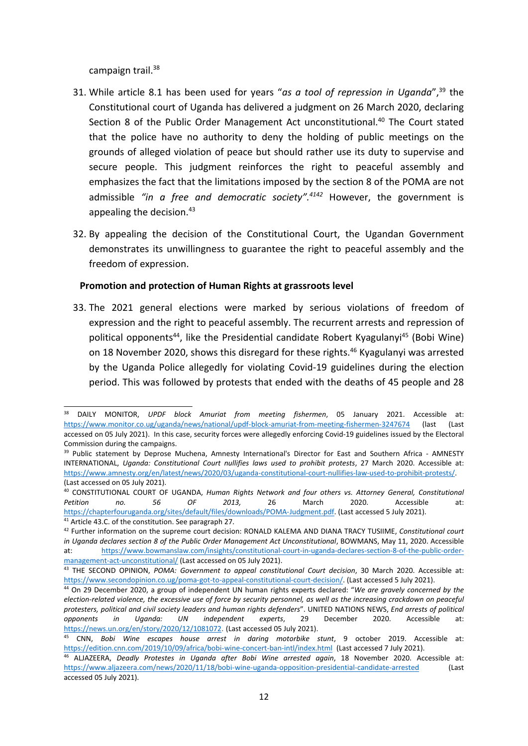campaign trail.<sup>38</sup>

- 31. While article 8.1 has been used for years "*as <sup>a</sup> tool of repression in Uganda*", 39 the Constitutional court of Uganda has delivered <sup>a</sup> judgment on 26 March 2020, declaring Section 8 of the Public Order Management Act unconstitutional.<sup>40</sup> The Court stated that the police have no authority to deny the holding of public meetings on the grounds of alleged violation of peace but should rather use its duty to supervise and secure people. This judgment reinforces the right to peaceful assembly and emphasizes the fact that the limitations imposed by the section 8 of the POMA are not admissible *"in <sup>a</sup> free and democratic society". 4142* However, the government is appealing the decision.<sup>43</sup>
- 32. By appealing the decision of the Constitutional Court, the Ugandan Government demonstrates its unwillingness to guarantee the right to peaceful assembly and the freedom of expression.

## **Promotion and protection of Human Rights at grassroots level**

33. The 2021 general elections were marked by serious violations of freedom of expression and the right to peaceful assembly. The recurrent arrests and repression of political opponents<sup>44</sup>, like the Presidential candidate Robert Kyagulanyi<sup>45</sup> (Bobi Wine) on 18 November 2020, shows this disregard for these rights. 46 Kyagulanyi was arrested by the Uganda Police allegedly for violating Covid-19 guidelines during the election period. This was followed by protests that ended with the deaths of 45 people and 28

<sup>38</sup> DAILY MONITOR, *UPDF block Amuriat from meeting fishermen*, 05 January 2021. Accessible at: <https://www.monitor.co.ug/uganda/news/national/updf-block-amuriat-from-meeting-fishermen-3247674> (last (Last accessed on 05 July 2021). In this case, security forces were allegedly enforcing Covid-19 guidelines issued by the Electoral Commission during the campaigns.

<sup>&</sup>lt;sup>39</sup> Public statement by Deprose Muchena, Amnesty International's Director for East and Southern Africa - AMNESTY INTERNATIONAL, *Uganda: Constitutional Court nullifies laws used to prohibit protests*, 27 March 2020. Accessible at: <https://www.amnesty.org/en/latest/news/2020/03/uganda-constitutional-court-nullifies-law-used-to-prohibit-protests/>. (Last accessed on 05 July 2021).

<sup>40</sup> CONSTITUTIONAL COURT OF UGANDA, *Human Rights Network and four others vs. Attorney General, Constitutional Petition no. 56 OF 2013,* 26 March 2020. Accessible at: <https://chapterfouruganda.org/sites/default/files/downloads/POMA-Judgment.pdf>. (Last accessed 5 July 2021).

<sup>&</sup>lt;sup>41</sup> Article 43.C. of the constitution. See paragraph 27.

<sup>42</sup> Further information on the supreme court decision: RONALD KALEMA AND DIANA TRACY TUSIIME, *Constitutional court in Uganda declares section 8 of the Public Order Management Act Unconstitutional*, BOWMANS, May 11, 2020. Accessible at: [https://www.bowmanslaw.com/insights/constitutional-court-in-uganda-declares-section-8-of-the-public-order](https://www.bowmanslaw.com/insights/constitutional-court-in-uganda-declares-section-8-of-the-public-order-management-act-unconstitutional/)[management-act-unconstitutional/](https://www.bowmanslaw.com/insights/constitutional-court-in-uganda-declares-section-8-of-the-public-order-management-act-unconstitutional/) (Last accessed on 05 July 2021).

<sup>43</sup> THE SECOND OPINION, *POMA: Government to appeal constitutional Court decision*, 30 March 2020. Accessible at: <https://www.secondopinion.co.ug/poma-got-to-appeal-constitutional-court-decision/>. (Last accessed 5 July 2021).

<sup>44</sup> On 29 December 2020, <sup>a</sup> group of independent UN human rights experts declared: "*We are gravely concerned by the* election-related violence, the excessive use of force by security personnel, as well as the increasing crackdown on peaceful *protesters, political and civil society leaders and human rights defenders*". UNITED NATIONS NEWS, *End arrests of political opponents in Uganda: UN independent experts*, 29 December 2020. Accessible at: <https://news.un.org/en/story/2020/12/1081072>. (Last accessed 05 July 2021).

<sup>45</sup> CNN, *Bobi Wine escapes house arrest in daring motorbike stunt*, 9 october 2019. Accessible at: <https://edition.cnn.com/2019/10/09/africa/bobi-wine-concert-ban-intl/index.html> (Last accessed 7 July 2021).

<sup>46</sup> ALJAZEERA, *Deadly Protestes in Uganda after Bobi Wine arrested again*, 18 November 2020. Accessible at: <https://www.aljazeera.com/news/2020/11/18/bobi-wine-uganda-opposition-presidential-candidate-arrested> (Last accessed 05 July 2021).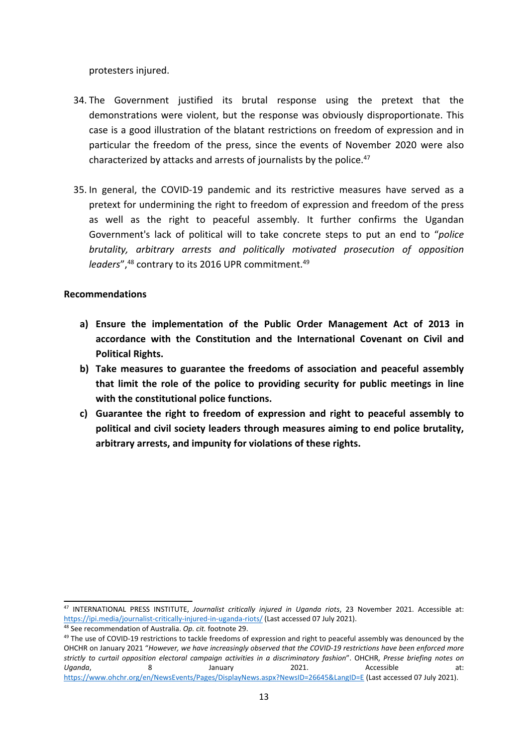protesters injured.

- 34. The Government justified its brutal response using the pretext that the demonstrations were violent, but the response was obviously disproportionate. This case is <sup>a</sup> good illustration of the blatant restrictions on freedom of expression and in particular the freedom of the press, since the events of November 2020 were also characterized by attacks and arrests of journalists by the police.<sup>47</sup>
- 35. In general, the COVID-19 pandemic and its restrictive measures have served as <sup>a</sup> pretext for undermining the right to freedom of expression and freedom of the press as well as the right to peaceful assembly. It further confirms the Ugandan Government's lack of political will to take concrete steps to put an end to "*police brutality, arbitrary arrests and politically motivated prosecution of opposition* leaders",<sup>48</sup> contrary to its 2016 UPR commitment.<sup>49</sup>

## **Recommendations**

- **a) Ensure the implementation of the Public Order Management Act of 2013 in accordance with the Constitution and the International Covenant on Civil and Political Rights.**
- **b) Take measures to guarantee the freedoms of association and peaceful assembly that limit the role of the police to providing security for public meetings in line with the constitutional police functions.**
- **c) Guarantee the right to freedom of expression and right to peaceful assembly to political and civil society leaders through measures aiming to end police brutality, arbitrary arrests, and impunity for violations of these rights.**

<sup>47</sup> INTERNATIONAL PRESS INSTITUTE, *Journalist critically injured in Uganda riots*, 23 November 2021. Accessible at: <https://ipi.media/journalist-critically-injured-in-uganda-riots/> (Last accessed 07 July 2021).

<sup>48</sup> See recommendation of Australia. *Op. cit.* footnote 29.

<sup>&</sup>lt;sup>49</sup> The use of COVID-19 restrictions to tackle freedoms of expression and right to peaceful assembly was denounced by the OHCHR on January 2021 "*However, we have increasingly observed that the COVID-19 restrictions have been enforced more* strictly to curtail opposition electoral campaign activities in a discriminatory fashion". OHCHR, Presse briefing notes on *Uganda*, 8 January 2021. Accessible at: <https://www.ohchr.org/en/NewsEvents/Pages/DisplayNews.aspx?NewsID=26645&LangID=E> (Last accessed 07 July 2021).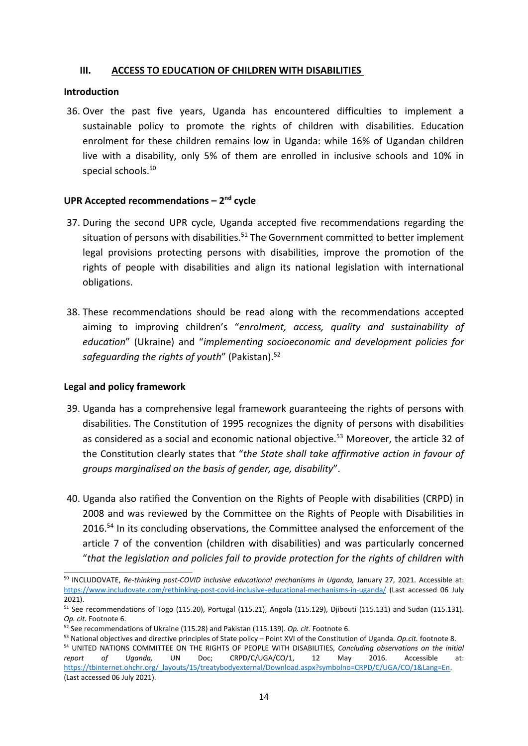## **III. ACCESS TO EDUCATION OF CHILDREN WITH DISABILITIES**

#### **Introduction**

36. Over the past five years, Uganda has encountered difficulties to implement <sup>a</sup> sustainable policy to promote the rights of children with disabilities. Education enrolment for these children remains low in Uganda: while 16% of Ugandan children live with <sup>a</sup> disability, only 5% of them are enrolled in inclusive schools and 10% in special schools. 50

## **UPR Accepted recommendations – <sup>2</sup>nd cycle**

- 37. During the second UPR cycle, Uganda accepted five recommendations regarding the situation of persons with disabilities.<sup>51</sup> The Government committed to better implement legal provisions protecting persons with disabilities, improve the promotion of the rights of people with disabilities and align its national legislation with international obligations.
- 38. These recommendations should be read along with the recommendations accepted aiming to improving children'<sup>s</sup> "*enrolment, access, quality and sustainability of education*" (Ukraine) and "*implementing socioeconomic and development policies for safeguarding the rights of youth*" (Pakistan). 52

## **Legal and policy framework**

- 39. Uganda has <sup>a</sup> comprehensive legal framework guaranteeing the rights of persons with disabilities. The Constitution of 1995 recognizes the dignity of persons with disabilities as considered as <sup>a</sup> social and economic national objective. <sup>53</sup> Moreover, the article 32 of the Constitution clearly states that "*the State shall take affirmative action in favour of groups marginalised on the basis of gender, age, disability*".
- 40. Uganda also ratified the Convention on the Rights of People with disabilities (CRPD) in 2008 and was reviewed by the Committee on the Rights of People with Disabilities in 2016.<sup>54</sup> In its concluding observations, the Committee analysed the enforcement of the article 7 of the convention (children with disabilities) and was particularly concerned "*that the legislation and policies fail to provide protection for the rights of children with*

<sup>50</sup> INCLUDOVATE, *Re-thinking post-COVID inclusive educational mechanisms in Uganda,* January 27, 2021. Accessible at: <https://www.includovate.com/rethinking-post-covid-inclusive-educational-mechanisms-in-uganda/> (Last accessed 06 July 2021).

<sup>&</sup>lt;sup>51</sup> See recommendations of Togo (115.20), Portugal (115.21), Angola (115.129), Djibouti (115.131) and Sudan (115.131). *Op. cit.* Footnote 6.

<sup>52</sup> See recommendations of Ukraine (115.28) and Pakistan (115.139). *Op. cit.* Footnote 6.

<sup>53</sup> National objectives and directive principles of State policy – Point XVI of the Constitution of Uganda. *Op.cit.* footnote 8. 54 UNITED NATIONS COMMITTEE ON THE RIGHTS OF PEOPLE WITH DISABILITIES, *Concluding observations on the initial report of Uganda,* UN Doc; CRPD/C/UGA/CO/1, 12 May 2016. Accessible at: [https://tbinternet.ohchr.org/\\_layouts/15/treatybodyexternal/Download.aspx?symbolno=CRPD/C/UGA/CO/1&Lang=En](https://tbinternet.ohchr.org/_layouts/15/treatybodyexternal/Download.aspx?symbolno=CRPD/C/UGA/CO/1&Lang=En). (Last accessed 06 July 2021).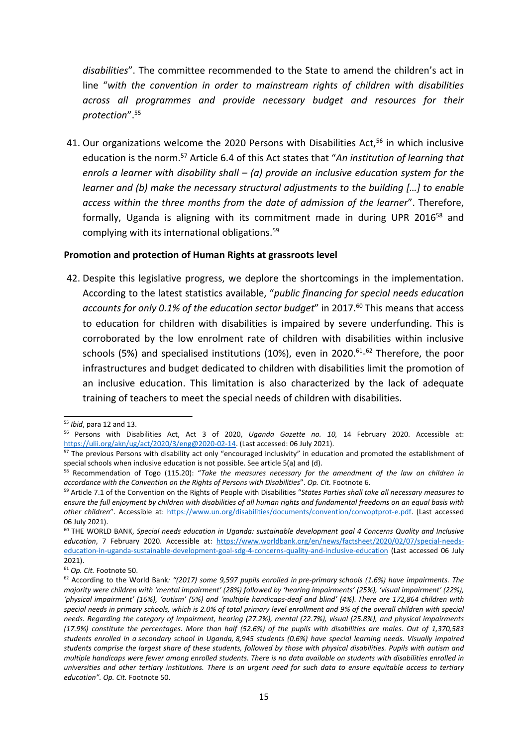*disabilities*". The committee recommended to the State to amend the children'<sup>s</sup> act in line "*with the convention in order to mainstream rights of children with disabilities across all programmes and provide necessary budget and resources for their protection*". 55

41. Our organizations welcome the 2020 Persons with Disabilities Act,<sup>56</sup> in which inclusive education is the norm. 57 Article 6.4 of this Act states that "*An institution of learning that enrols <sup>a</sup> learner with disability shall – (a) provide an inclusive education system for the learner and (b) make the necessary structural adjustments to the building […] to enable access within the three months from the date of admission of the learner*". Therefore, formally, Uganda is aligning with its commitment made in during UPR 2016<sup>58</sup> and complying with its international obligations. 59

#### **Promotion and protection of Human Rights at grassroots level**

42. Despite this legislative progress, we deplore the shortcomings in the implementation. According to the latest statistics available, "*public financing for special needs education accounts for only 0.1% of the education sector budget*" in 2017. 60 This means that access to education for children with disabilities is impaired by severe underfunding. This is corroborated by the low enrolment rate of children with disabilities within inclusive schools (5%) and specialised institutions (10%), even in 2020.<sup>61</sup>-<sup>62</sup> Therefore, the poor infrastructures and budget dedicated to children with disabilities limit the promotion of an inclusive education. This limitation is also characterized by the lack of adequate training of teachers to meet the special needs of children with disabilities.

<sup>55</sup> *Ibid*, para 12 and 13.

<sup>56</sup> Persons with Disabilities Act, Act 3 of 2020, *Uganda Gazette no. 10,* 14 February 2020. Accessible at: <https://ulii.org/akn/ug/act/2020/3/eng@2020-02-14>. (Last accessed: 06 July 2021).

<sup>&</sup>lt;sup>57</sup> The previous Persons with disability act only "encouraged inclusivity" in education and promoted the establishment of special schools when inclusive education is not possible. See article 5(a) and (d).

<sup>58</sup> Recommendation of Togo (115.20): "*Take the measures necessary for the amendment of the law on children in accordance with the Convention on the Rights of Persons with Disabilities*". *Op. Cit.* Footnote 6.

<sup>59</sup> Article 7.1 of the Convention on the Rights of People with Disabilities "*States Parties shall take all necessary measures to* ensure the full enjoyment by children with disabilities of all human rights and fundamental freedoms on an equal basis with *other children*". Accessible at: <https://www.un.org/disabilities/documents/convention/convoptprot-e.pdf>. (Last accessed 06 July 2021).

<sup>60</sup> THE WORLD BANK, *Special needs education in Uganda: sustainable development goal 4 Concerns Quality and Inclusive education*, 7 February 2020. Accessible at: [https://www.worldbank.org/en/news/factsheet/2020/02/07/special-needs](https://www.worldbank.org/en/news/factsheet/2020/02/07/special-needs-education-in-uganda-sustainable-development-goal-sdg-4-concerns-quality-and-inclusive-education)[education-in-uganda-sustainable-development-goal-sdg-4-concerns-quality-and-inclusive-education](https://www.worldbank.org/en/news/factsheet/2020/02/07/special-needs-education-in-uganda-sustainable-development-goal-sdg-4-concerns-quality-and-inclusive-education) (Last accessed 06 July 2021).

<sup>61</sup> *Op. Cit.* Footnote 50.

<sup>62</sup> According to the World Bank*: "(2017) some 9,597 pupils enrolled in pre-primary schools (1.6%) have impairments. The* majority were children with 'mental impairment' (28%) followed by 'hearing impairments' (25%). 'visual impairment' (22%). 'physical impairment' (16%), 'autism' (5%) and 'multiple handicaps-deaf and blind' (4%). There are 172.864 children with special needs in primary schools, which is 2.0% of total primary level enrollment and 9% of the overall children with special *needs. Regarding the category of impairment, hearing (27.2%), mental (22.7%), visual (25.8%), and physical impairments* (17.9%) constitute the percentages. More than half (52.6%) of the pupils with disabilities are males. Out of 1,370,583 students enrolled in a secondary school in Uganda, 8,945 students (0.6%) have special learning needs. Visually impaired students comprise the largest share of these students, followed by those with physical disabilities. Pupils with autism and multiple handicaps were fewer among enrolled students. There is no data available on students with disabilities enrolled in universities and other tertiary institutions. There is an urgent need for such data to ensure equitable access to tertiary *education". Op. Cit.* Footnote 50.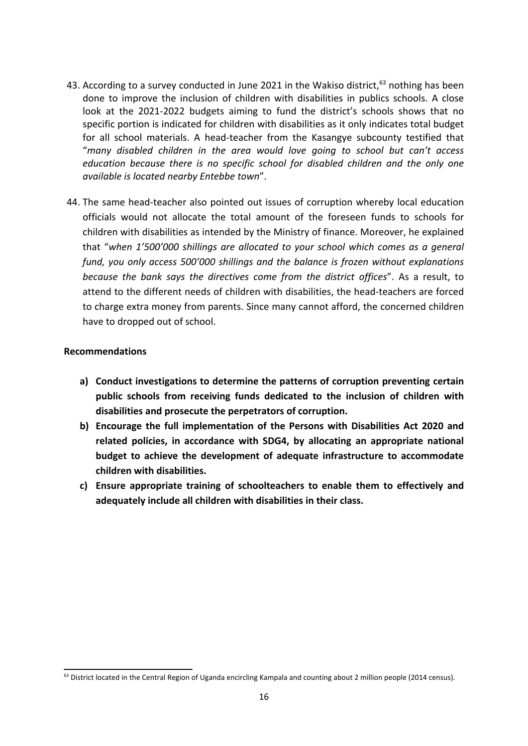- 43. According to a survey conducted in June 2021 in the Wakiso district,<sup>63</sup> nothing has been done to improve the inclusion of children with disabilities in publics schools. A close look at the 2021-2022 budgets aiming to fund the district'<sup>s</sup> schools shows that no specific portion is indicated for children with disabilities as it only indicates total budget for all school materials. A head-teacher from the Kasangye subcounty testified that "*many disabled children in the area would love going to school but can'<sup>t</sup> access education because there is no specific school for disabled children and the only one available is located nearby Entebbe town*".
- 44. The same head-teacher also pointed out issues of corruption whereby local education officials would not allocate the total amount of the foreseen funds to schools for children with disabilities as intended by the Ministry of finance. Moreover, he explained that "*when 1'500'000 shillings are allocated to your school which comes as <sup>a</sup> general fund, you only access 500'000 shillings and the balance is frozen without explanations because the bank says the directives come from the district offices*". As <sup>a</sup> result, to attend to the different needs of children with disabilities, the head-teachers are forced to charge extra money from parents. Since many cannot afford, the concerned children have to dropped out of school.

## **Recommendations**

- **a) Conduct investigations to determine the patterns of corruption preventing certain public schools from receiving funds dedicated to the inclusion of children with disabilities and prosecute the perpetrators of corruption.**
- **b) Encourage the full implementation of the Persons with Disabilities Act 2020 and related policies, in accordance with SDG4, by allocating an appropriate national budget to achieve the development of adequate infrastructure to accommodate children with disabilities.**
- **c) Ensure appropriate training of schoolteachers to enable them to effectively and adequately include all children with disabilities in their class.**

<sup>&</sup>lt;sup>63</sup> District located in the Central Region of Uganda encircling Kampala and counting about 2 million people (2014 census).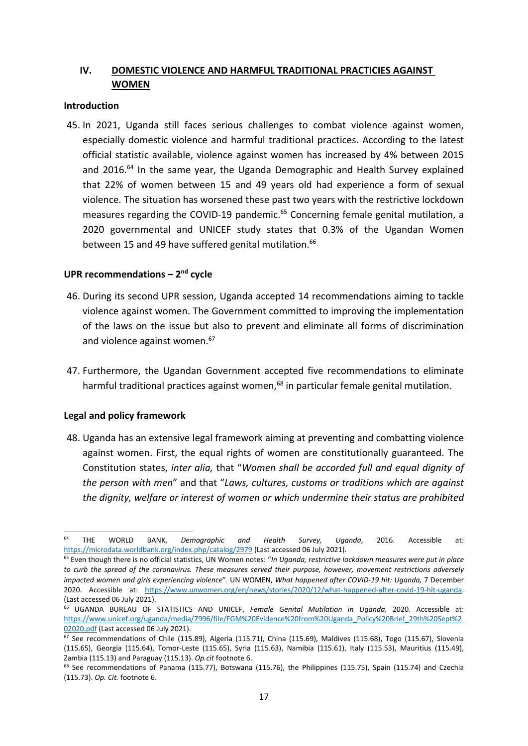## **IV. DOMESTIC VIOLENCE AND HARMFUL TRADITIONAL PRACTICIES AGAINST WOMEN**

#### **Introduction**

45. In 2021, Uganda still faces serious challenges to combat violence against women, especially domestic violence and harmful traditional practices. According to the latest official statistic available, violence against women has increased by 4% between 2015 and 2016.<sup>64</sup> In the same year, the Uganda Demographic and Health Survey explained that 22% of women between 15 and 49 years old had experience <sup>a</sup> form of sexual violence. The situation has worsened these past two years with the restrictive lockdown measures regarding the COVID-19 pandemic.<sup>65</sup> Concerning female genital mutilation, a 2020 governmental and UNICEF study states that 0.3% of the Ugandan Women between 15 and 49 have suffered genital mutilation.<sup>66</sup>

#### **UPR recommendations – 2nd cycle**

- 46. During its second UPR session, Uganda accepted 14 recommendations aiming to tackle violence against women. The Government committed to improving the implementation of the laws on the issue but also to prevent and eliminate all forms of discrimination and violence against women. 67
- 47. Furthermore, the Ugandan Government accepted five recommendations to eliminate harmful traditional practices against women,<sup>68</sup> in particular female genital mutilation.

#### **Legal and policy framework**

48. Uganda has an extensive legal framework aiming at preventing and combatting violence against women. First, the equal rights of women are constitutionally guaranteed. The Constitution states, *inter alia,* that "*Women shall be accorded full and equal dignity of the person with men*" and that "*Laws, cultures, customs or traditions which are against the dignity, welfare or interest of women or which undermine their status are prohibited*

<sup>64</sup> THE WORLD BANK, *Demographic and Health Survey, Uganda*, 2016. Accessible at: <https://microdata.worldbank.org/index.php/catalog/2979> (Last accessed 06 July 2021).

<sup>65</sup> Even though there is no official statistics, UN Women notes: "*In Uganda, restrictive lockdown measures were put in place* to curb the spread of the coronavirus. These measures served their purpose, however, movement restrictions adversely *impacted women and girls experiencing violence*". UN WOMEN, *What happened after COVID-19 hit: Uganda,* 7 December 2020. Accessible at: <https://www.unwomen.org/en/news/stories/2020/12/what-happened-after-covid-19-hit-uganda>. (Last accessed 06 July 2021).

<sup>66</sup> UGANDA BUREAU OF STATISTICS AND UNICEF, *Female Genital Mutilation in Uganda,* 2020. Accessible at: [https://www.unicef.org/uganda/media/7996/file/FGM%20Evidence%20from%20Uganda\\_Policy%20Brief\\_29th%20Sept%2](https://www.unicef.org/uganda/media/7996/file/FGM%20Evidence%20from%20Uganda_Policy%20Brief_29th%20Sept%202020.pdf) [02020.pdf](https://www.unicef.org/uganda/media/7996/file/FGM%20Evidence%20from%20Uganda_Policy%20Brief_29th%20Sept%202020.pdf) (Last accessed 06 July 2021).

 $^{67}$  See recommendations of Chile (115.89), Algeria (115.71), China (115.69), Maldives (115.68), Togo (115.67), Slovenia (115.65), Georgia (115.64), Tomor-Leste (115.65), Syria (115.63), Namibia (115.61), Italy (115.53), Mauritius (115.49), Zambia (115.13) and Paraguay (115.13). *Op.cit* footnote 6.

<sup>&</sup>lt;sup>68</sup> See recommendations of Panama (115.77), Botswana (115.76), the Philippines (115.75), Spain (115.74) and Czechia (115.73). *Op. Cit.* footnote 6.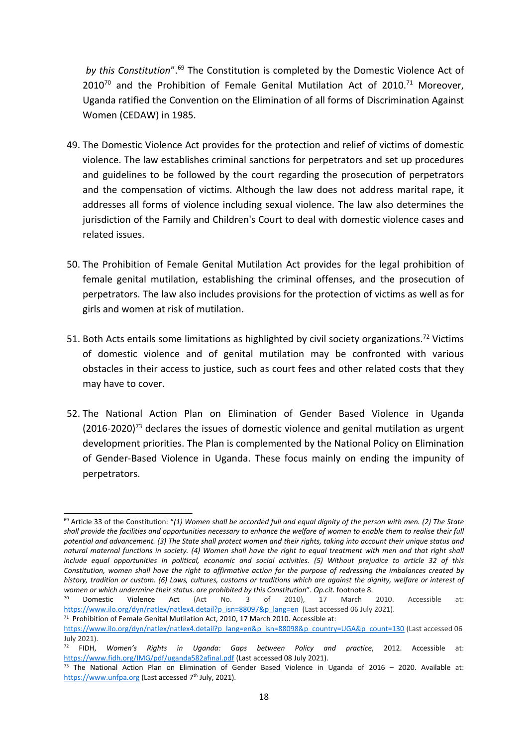*by this Constitution"*.<sup>69</sup> The Constitution is completed by the Domestic Violence Act of  $2010^{70}$  and the Prohibition of Female Genital Mutilation Act of 2010.<sup>71</sup> Moreover, Uganda ratified the Convention on the Elimination of all forms of Discrimination Against Women (CEDAW) in 1985.

- 49. The Domestic Violence Act provides for the protection and relief of victims of domestic violence. The law establishes criminal sanctions for perpetrators and set up procedures and guidelines to be followed by the court regarding the prosecution of perpetrators and the compensation of victims. Although the law does not address marital rape, it addresses all forms of violence including sexual violence. The law also determines the jurisdiction of the Family and Children's Court to deal with domestic violence cases and related issues.
- 50. The Prohibition of Female Genital Mutilation Act provides for the legal prohibition of female genital mutilation, establishing the criminal offenses, and the prosecution of perpetrators. The law also includes provisions for the protection of victims as well as for girls and women at risk of mutilation.
- 51. Both Acts entails some limitations as highlighted by civil society organizations.<sup>72</sup> Victims of domestic violence and of genital mutilation may be confronted with various obstacles in their access to justice, such as court fees and other related costs that they may have to cover.
- 52. The National Action Plan on Elimination of Gender Based Violence in Uganda (2016-2020)<sup>73</sup> declares the issues of domestic violence and genital mutilation as urgent development priorities. The Plan is complemented by the National Policy on Elimination of Gender-Based Violence in Uganda. These focus mainly on ending the impunity of perpetrators.

 $^{69}$  Article 33 of the Constitution: "(1) Women shall be accorded full and equal dignity of the person with men. (2) The State shall provide the facilities and opportunities necessary to enhance the welfare of women to enable them to realise their full potential and advancement. (3) The State shall protect women and their rights, taking into account their unique status and natural maternal functions in society. (4) Women shall have the right to equal treatment with men and that right shall include equal opportunities in political, economic and social activities. (5) Without prejudice to article 32 of this Constitution, women shall have the right to affirmative action for the purpose of redressing the imbalances created by history, tradition or custom. (6) Laws, cultures, customs or traditions which are against the dignity, welfare or interest of *women or which undermine their status. are prohibited by this Constitution*". *Op.cit.* footnote 8.

<sup>70</sup> Domestic Violence Act (Act No. 3 of 2010), 17 March 2010. Accessible at: [https://www.ilo.org/dyn/natlex/natlex4.detail?p\\_isn=88097&p\\_lang=en](https://www.ilo.org/dyn/natlex/natlex4.detail?p_isn=88097&p_lang=en) (Last accessed 06 July 2021).

<sup>&</sup>lt;sup>71</sup> Prohibition of Female Genital Mutilation Act, 2010, 17 March 2010. Accessible at: [https://www.ilo.org/dyn/natlex/natlex4.detail?p\\_lang=en&p\\_isn=88098&p\\_country=UGA&p\\_count=130](https://www.ilo.org/dyn/natlex/natlex4.detail?p_lang=en&p_isn=88098&p_country=UGA&p_count=130) (Last accessed 06 July 2021).

<sup>72</sup> FIDH, *Women'<sup>s</sup> Rights in Uganda: Gaps between Policy and practice*, 2012. Accessible at: <https://www.fidh.org/IMG/pdf/uganda582afinal.pdf> (Last accessed 08 July 2021).

<sup>&</sup>lt;sup>73</sup> The National Action Plan on Elimination of Gender Based Violence in Uganda of 2016 - 2020. Available at: <https://www.unfpa.org> (Last accessed 7<sup>th</sup> July, 2021).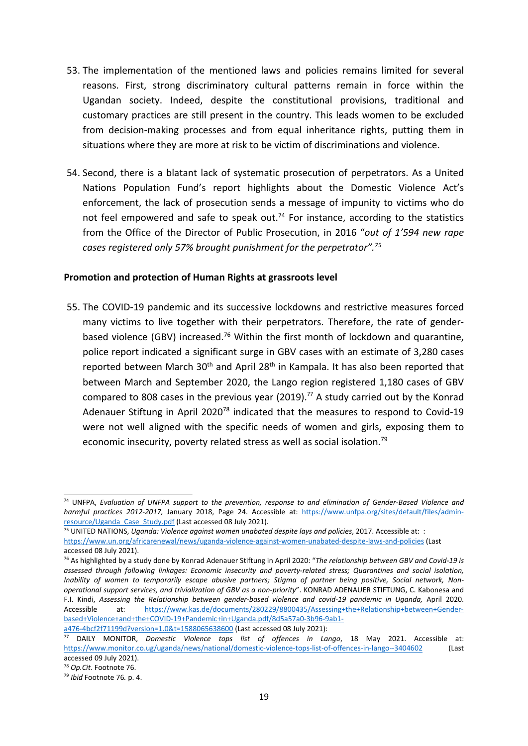- 53. The implementation of the mentioned laws and policies remains limited for several reasons. First, strong discriminatory cultural patterns remain in force within the Ugandan society. Indeed, despite the constitutional provisions, traditional and customary practices are still present in the country. This leads women to be excluded from decision-making processes and from equal inheritance rights, putting them in situations where they are more at risk to be victim of discriminations and violence.
- 54. Second, there is <sup>a</sup> blatant lack of systematic prosecution of perpetrators. As <sup>a</sup> United Nations Population Fund'<sup>s</sup> report highlights about the Domestic Violence Act'<sup>s</sup> enforcement, the lack of prosecution sends <sup>a</sup> message of impunity to victims who do not feel empowered and safe to speak out.<sup>74</sup> For instance, according to the statistics from the Office of the Director of Public Prosecution, in 2016 "*out of 1'594 new rape cases registered only 57% brought punishment for the perpetrator". 75*

#### **Promotion and protection of Human Rights at grassroots level**

55. The COVID-19 pandemic and its successive lockdowns and restrictive measures forced many victims to live together with their perpetrators. Therefore, the rate of genderbased violence (GBV) increased.<sup>76</sup> Within the first month of lockdown and quarantine, police report indicated <sup>a</sup> significant surge in GBV cases with an estimate of 3,280 cases reported between March 30<sup>th</sup> and April 28<sup>th</sup> in Kampala. It has also been reported that between March and September 2020, the Lango region registered 1,180 cases of GBV compared to 808 cases in the previous year (2019).<sup>77</sup> A study carried out by the Konrad Adenauer Stiftung in April 2020<sup>78</sup> indicated that the measures to respond to Covid-19 were not well aligned with the specific needs of women and girls, exposing them to economic insecurity, poverty related stress as well as social isolation.<sup>79</sup>

<sup>74</sup> UNFPA, *Evaluation of UNFPA support to the prevention, response to and elimination of Gender-Based Violence and harmful practices 2012-2017,* January 2018, Page 24. Accessible at: [https://www.unfpa.org/sites/default/files/admin](https://www.unfpa.org/sites/default/files/admin-resource/Uganda_Case_Study.pdf)[resource/Uganda\\_Case\\_Study.pdf](https://www.unfpa.org/sites/default/files/admin-resource/Uganda_Case_Study.pdf) (Last accessed 08 July 2021).

<sup>75</sup> UNITED NATIONS, *Uganda: Violence against women unabated despite lays and policies*, 2017. Accessible at: : <https://www.un.org/africarenewal/news/uganda-violence-against-women-unabated-despite-laws-and-policies> (Last accessed 08 July 2021).

<sup>76</sup> As highlighted by <sup>a</sup> study done by Konrad Adenauer Stiftung in April 2020: "*The relationship between GBV and Covid-19 is assessed through following linkages: Economic insecurity and poverty-related stress; Quarantines and social isolation,* Inability of women to temporarily escape abusive partners; Stigma of partner being positive, Social network, Non*operational support services, and trivialization of GBV as <sup>a</sup> non-priority*". KONRAD ADENAUER STIFTUNG, C. Kabonesa and F.I. Kindi, *Assessing the Relationship between gender-based violence and covid-19 pandemic in Uganda,* April 2020. Accessible at: [https://www.kas.de/documents/280229/8800435/Assessing+the+Relationship+between+Gender](https://www.kas.de/documents/280229/8800435/Assessing+the+Relationship+between+Gender-based+Violence+and+the+COVID-19+Pandemic+in+Uganda.pdf/8d5a57a0-3b96-9ab1-a476-4bcf2f71199d?version=1.0&t=1588065638600)[based+Violence+and+the+COVID-19+Pandemic+in+Uganda.pdf/8d5a57a0-3b96-9ab1](https://www.kas.de/documents/280229/8800435/Assessing+the+Relationship+between+Gender-based+Violence+and+the+COVID-19+Pandemic+in+Uganda.pdf/8d5a57a0-3b96-9ab1-a476-4bcf2f71199d?version=1.0&t=1588065638600) [a476-4bcf2f71199d?version=1.0&t=1588065638600](https://www.kas.de/documents/280229/8800435/Assessing+the+Relationship+between+Gender-based+Violence+and+the+COVID-19+Pandemic+in+Uganda.pdf/8d5a57a0-3b96-9ab1-a476-4bcf2f71199d?version=1.0&t=1588065638600) (Last accessed 08 July 2021):

<sup>77</sup> DAILY MONITOR, *Domestic Violence tops list of offences in Lango*, 18 May 2021. Accessible at: <https://www.monitor.co.ug/uganda/news/national/domestic-violence-tops-list-of-offences-in-lango--3404602> (Last accessed 09 July 2021).

<sup>78</sup> *Op.Cit.* Footnote 76.

<sup>79</sup> *Ibid* Footnote 76*.* p. 4.